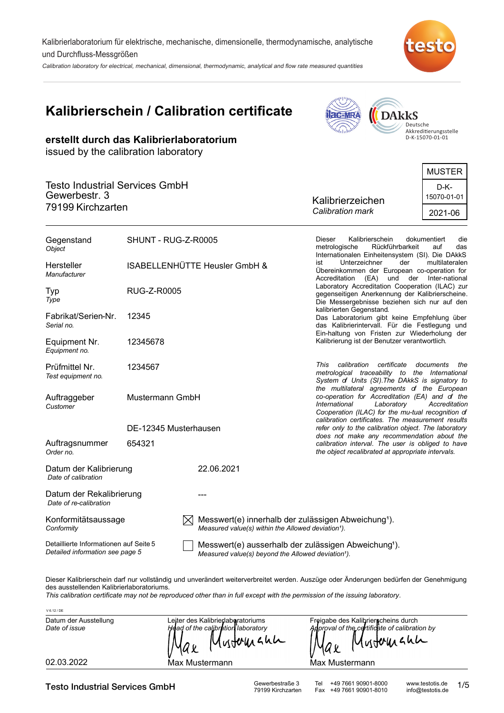Kalibrierlaboratorium für elektrische, mechanische, dimensionelle, thermodynamische, analytische und Durchfluss-Messgrößen

Calibration laboratory for electrical, mechanical, dimensional, thermodynamic, analytical and flow rate measured quantities



# **Kalibrierschein / Calibration certificate**

**erstellt durch das Kalibrierlaboratorium**

issued by the calibration laboratory



Deutsche<br>Akkreditierungsstelle<br>D-K-15070-01-01

|                  | <b>MUSTER</b>       |
|------------------|---------------------|
|                  |                     |
|                  | D-K-<br>15070-01-01 |
| Calibration mark | 2021-06             |
|                  | Kalibrierzeichen    |

| Gegenstand<br>Object                                                      | SHUNT - RUG-Z-R0005   |                                                                                                                                    | Kalibrierschein<br>Dieser<br>dokumentiert<br>die<br>Rückführbarkeit<br>metrologische<br>auf<br>das<br>Internationalen Einheitensystem (SI). Die DAkkS                                              |  |
|---------------------------------------------------------------------------|-----------------------|------------------------------------------------------------------------------------------------------------------------------------|----------------------------------------------------------------------------------------------------------------------------------------------------------------------------------------------------|--|
| Hersteller<br>Manufacturer                                                |                       | ISABELLENHÜTTE Heusler GmbH &                                                                                                      | ist<br>Unterzeichner<br>der<br>multilateralen<br>Übereinkommen der European co-operation for<br>(EA) und der<br>Inter-national<br>Accreditation                                                    |  |
| Typ<br>Type                                                               | <b>RUG-Z-R0005</b>    |                                                                                                                                    | Laboratory Accreditation Cooperation (ILAC) zur<br>gegenseitigen Anerkennung der Kalibrierscheine.<br>Die Messergebnisse beziehen sich nur auf den                                                 |  |
| Fabrikat/Serien-Nr.<br>Serial no.                                         | 12345                 |                                                                                                                                    | kalibrierten Gegenstand.<br>Das Laboratorium gibt keine Empfehlung über<br>das Kalibrierintervall. Für die Festlegung und                                                                          |  |
| Equipment Nr.<br>Equipment no.                                            | 12345678              |                                                                                                                                    | Ein-haltung von Fristen zur Wiederholung der<br>Kalibrierung ist der Benutzer verantwortlich.                                                                                                      |  |
| Prüfmittel Nr.<br>Test equipment no.                                      | 1234567               |                                                                                                                                    | certificate<br>This<br>calibration<br>documents<br>the<br>metrological traceability to the International<br>System of Units (SI). The DAkkS is signatory to                                        |  |
| Mustermann GmbH<br>Auftraggeber<br>Customer                               |                       |                                                                                                                                    | the multilateral agreements of the European<br>co-operation for Accreditation (EA) and of the<br>International<br>Laboratory<br>Accreditation<br>Cooperation (ILAC) for the mu-tual recognition of |  |
|                                                                           | DE-12345 Musterhausen |                                                                                                                                    | calibration certificates. The measurement results<br>refer only to the calibration object. The laboratory                                                                                          |  |
| Auftragsnummer<br>Order no.                                               | 654321                |                                                                                                                                    | does not make any recommendation about the<br>calibration interval. The user is obliged to have<br>the object recalibrated at appropriate intervals.                                               |  |
| Datum der Kalibrierung<br>Date of calibration                             |                       | 22.06.2021                                                                                                                         |                                                                                                                                                                                                    |  |
| Datum der Rekalibrierung<br>Date of re-calibration                        |                       |                                                                                                                                    |                                                                                                                                                                                                    |  |
| Konformitätsaussage<br>Conformity                                         |                       | Messwert(e) innerhalb der zulässigen Abweichung <sup>1</sup> ).<br>Measured value(s) within the Allowed deviation <sup>1</sup> ).  |                                                                                                                                                                                                    |  |
| Detaillierte Informationen auf Seite 5<br>Detailed information see page 5 |                       | Messwert(e) ausserhalb der zulässigen Abweichung <sup>1</sup> ).<br>Measured value(s) beyond the Allowed deviation <sup>1</sup> ). |                                                                                                                                                                                                    |  |

Dieser Kalibrierschein darf nur vollständig und unverändert weiterverbreitet werden. Auszüge oder Änderungen bedürfen der Genehmigung des ausstellenden Kalibrierlaboratoriums.

*This calibration certificate may not be reproduced other than in full except with the permission of the issuing laboratory.*

| V 6.12 / DE           |                                                        |                                                             |
|-----------------------|--------------------------------------------------------|-------------------------------------------------------------|
| Datum der Ausstellung | Leiter des Kalibrierlaboratoriums                      | Freigabe des Kalibrierscheins durch                         |
| Date of issue         | Head of the calibration laboratory<br>Mustomann<br>Max | Approval of the certificate of calibration by<br>Mustermann |
| 02.03.2022            | Max Mustermann                                         | Max Mustermann                                              |

Testo Industrial Services GmbH Gewerbestraße 3 Tel +49 7661 90901-8000 www.testotis.de<br>
79199 Kirchzarten Fax +49 7661 90901-8010 info@testotis.de

Fax +49 7661 90901-8010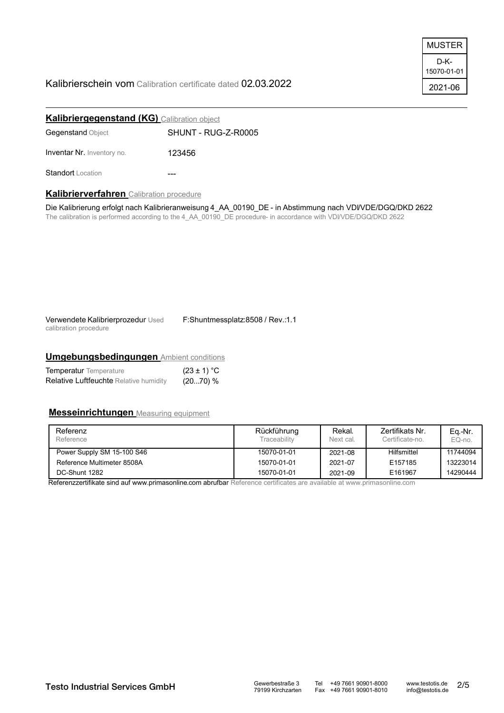# Kalibrierschein vom Calibration certificate dated 02.03.2022

| MUSTER              |
|---------------------|
| D-K-<br>15070-01-01 |
| 2021-06             |

| <b>Kalibriergegenstand (KG)</b> Calibration object |                     |  |  |  |
|----------------------------------------------------|---------------------|--|--|--|
| <b>Gegenstand Object</b>                           | SHUNT - RUG-Z-R0005 |  |  |  |
| <b>Inventar Nr. Inventory no.</b>                  | 123456              |  |  |  |
| <b>Standort</b> Location                           |                     |  |  |  |

### **Kalibrierverfahren** Calibration procedure

Die Kalibrierung erfolgt nach Kalibrieranweisung 4\_AA\_00190\_DE - in Abstimmung nach VDI/VDE/DGQ/DKD 2622 The calibration is performed according to the 4\_AA\_00190\_DE procedure- in accordance with VDI/VDE/DGQ/DKD 2622

Verwendete Kalibrierprozedur Used calibration procedure

F:Shuntmessplatz:8508 / Rev.:1.1

# **Umgebungsbedingungen** Ambient conditions

| <b>Temperatur</b> Temperature                 | $(23 \pm 1) °C$ |
|-----------------------------------------------|-----------------|
| <b>Relative Luftfeuchte Relative humidity</b> | (2070) %        |

# **Messeinrichtungen** Measuring equipment

| Referenz<br>Reference      | Rückführung<br>Traceabilitv | Rekal.<br>Next cal. | Zertifikats Nr.<br>Certificate-no. | Eq.-Nr.<br>EQ-no. |
|----------------------------|-----------------------------|---------------------|------------------------------------|-------------------|
| Power Supply SM 15-100 S46 | 15070-01-01                 | 2021-08             | Hilfsmittel                        | 11744094          |
| Reference Multimeter 8508A | 15070-01-01                 | 2021-07             | E157185                            | 13223014          |
| DC-Shunt 1282              | 15070-01-01                 | 2021-09             | E161967                            | 14290444          |

Referenzzertifikate sind auf www.primasonline.com abrufbar Reference certificates are available at www.primasonline.com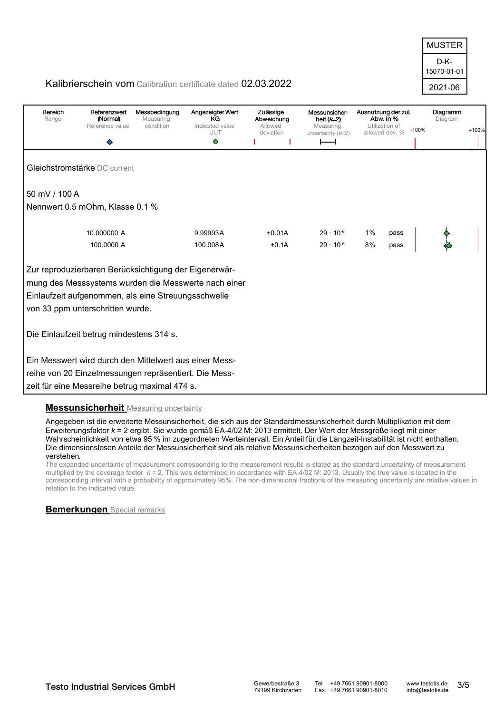D-K-2021-06 15070-01-01 MUSTER

# Kalibrierschein vom Calibration certificate dated 02.03.2022

| Bereich<br>Range | Referenzwert<br>(Normal)<br>Reference value            | Messbedingung<br>Measuring<br>condition | Angezeigter Wert<br>KG<br>Indicated value<br>UUT     | Zulässige<br>Abweichung<br>Allowed<br>deviation | Messunsicher-<br>heit $(k=2)$<br>Measuring<br>uncertainty $(k=2)$ | Ausnutzung der zul.<br>Abw. in %<br>Utilization of<br>allowed dev. % | $-100%$ | Diagramm<br>Diagram | $+100%$ |
|------------------|--------------------------------------------------------|-----------------------------------------|------------------------------------------------------|-------------------------------------------------|-------------------------------------------------------------------|----------------------------------------------------------------------|---------|---------------------|---------|
|                  |                                                        |                                         | Ο                                                    |                                                 |                                                                   |                                                                      |         |                     |         |
|                  | Gleichstromstärke DC current                           |                                         |                                                      |                                                 |                                                                   |                                                                      |         |                     |         |
| 50 mV / 100 A    |                                                        |                                         |                                                      |                                                 |                                                                   |                                                                      |         |                     |         |
|                  | Nennwert 0.5 mOhm, Klasse 0.1 %                        |                                         |                                                      |                                                 |                                                                   |                                                                      |         |                     |         |
|                  | 10.000000 A                                            |                                         | 9.99993A                                             | ±0.01A                                          | $29 \cdot 10^{-6}$                                                | 1%                                                                   | pass    |                     |         |
|                  | 100.0000 A                                             |                                         | 100.008A                                             | ±0.1A                                           | $29 \cdot 10^{-6}$                                                | 8%                                                                   | pass    |                     |         |
|                  | Zur reproduzierbaren Berücksichtigung der Eigenerwär-  |                                         |                                                      |                                                 |                                                                   |                                                                      |         |                     |         |
|                  |                                                        |                                         | mung des Messsystems wurden die Messwerte nach einer |                                                 |                                                                   |                                                                      |         |                     |         |
|                  | Einlaufzeit aufgenommen, als eine Streuungsschwelle    |                                         |                                                      |                                                 |                                                                   |                                                                      |         |                     |         |
|                  | von 33 ppm unterschritten wurde.                       |                                         |                                                      |                                                 |                                                                   |                                                                      |         |                     |         |
|                  | Die Einlaufzeit betrug mindestens 314 s.               |                                         |                                                      |                                                 |                                                                   |                                                                      |         |                     |         |
|                  | Ein Messwert wird durch den Mittelwert aus einer Mess- |                                         |                                                      |                                                 |                                                                   |                                                                      |         |                     |         |
|                  | reihe von 20 Einzelmessungen repräsentiert. Die Mess-  |                                         |                                                      |                                                 |                                                                   |                                                                      |         |                     |         |
|                  | zeit für eine Messreihe betrug maximal 474 s.          |                                         |                                                      |                                                 |                                                                   |                                                                      |         |                     |         |

## **Messunsicherheit** Measuring uncertainty

Angegeben ist die erweiterte Messunsicherheit, die sich aus der Standardmessunsicherheit durch Multiplikation mit dem Erweiterungsfaktor *k* = 2 ergibt. Sie wurde gemäß EA-4/02 M: 2013 ermittelt. Der Wert der Messgröße liegt mit einer Wahrscheinlichkeit von etwa 95 % im zugeordneten Werteintervall. Ein Anteil für die Langzeit-Instabilität ist nicht enthalten. Die dimensionslosen Anteile der Messunsicherheit sind als relative Messunsicherheiten bezogen auf den Messwert zu verstehen.

The expanded uncertainty of measurement corresponding to the measurement results is stated as the standard uncertainty of measurement multiplied by the coverage factor *k* = 2. This was determined in accordance with EA-4/02 M: 2013. Usually the true value is located in the corresponding interval with a probability of approximately 95%. The non-dimensional fractions of the measuring uncertainty are relative values in relation to the indicated value.

## **Bemerkungen** Special remarks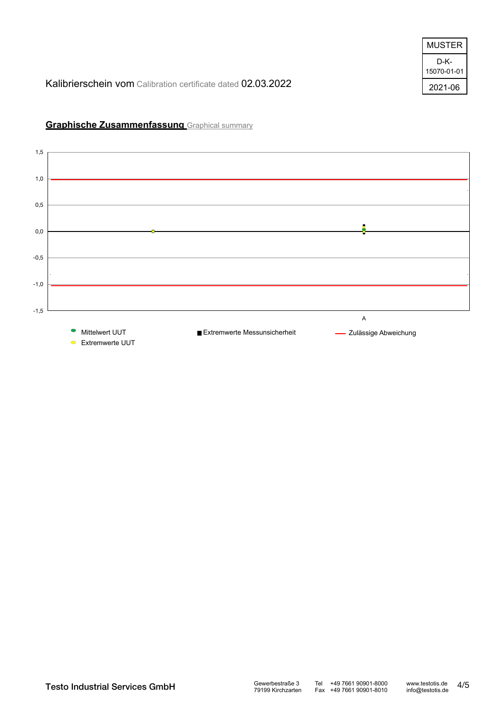| MUSTER              |
|---------------------|
| D-K-<br>15070-01-01 |
| 2021-06             |

Kalibrierschein vom Calibration certificate dated 02.03.2022



# **Graphische Zusammenfassung** Graphical summary

Testo Industrial Services GmbH Gewerbestraße 3 Tel +49 7661 90901-8000 www.testotis.de<br>
79199 Kirchzarten Fax +49 7661 90901-8010 info@testotis.de